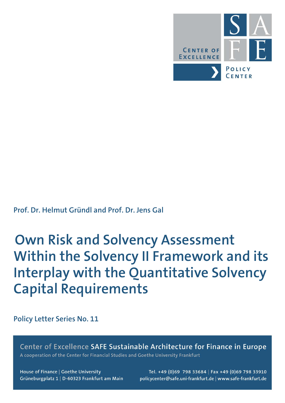

# **Prof. Dr. Helmut Gründl and Prof. Dr. Jens Gal**

# **Own Risk and Solvency Assessment Within the Solvency II Framework and its Interplay with the Quantitative Solvency Capital Requirements**

**Policy Letter Series No. 11**

Center of Excellence SAFE Sustainable Architecture for Finance in Europe A cooperation of the Center for Financial Studies and Goethe University Frankfurt

House of Finance | Goethe University Grüneburgplatz 1 | D-60323 Frankfurt am Main

Tel. +49 (0)69 798 33684 | Fax +49 (0)69 798 33910 policycenter@safe.uni-frankfurt.de | www.safe-frankfurt.de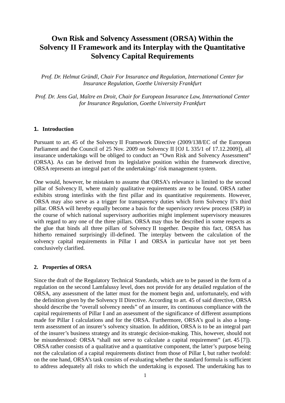# **Own Risk and Solvency Assessment (ORSA) Within the Solvency II Framework and its Interplay with the Quantitative Solvency Capital Requirements**

*Prof. Dr. Helmut Gründl, Chair For Insurance and Regulation, International Center for Insurance Regulation, Goethe University Frankfurt*

*Prof. Dr. Jens Gal, Maître en Droit, Chair for European Insurance Law, International Center for Insurance Regulation, Goethe University Frankfurt*

## **1. Introduction**

Pursuant to art. 45 of the Solvency II Framework Directive (2009/138/EC of the European Parliament and the Council of 25 Nov. 2009 on Solvency II [OJ L 335/1 of 17.12.2009]), all insurance undertakings will be obliged to conduct an "Own Risk and Solvency Assessment" (ORSA). As can be derived from its legislative position within the framework directive, ORSA represents an integral part of the undertakings' risk management system.

One would, however, be mistaken to assume that ORSA's relevance is limited to the second pillar of Solvency II, where mainly qualitative requirements are to be found. ORSA rather exhibits strong interlinks with the first pillar and its quantitative requirements. However, ORSA may also serve as a trigger for transparency duties which form Solvency II's third pillar. ORSA will hereby equally become a basis for the supervisory review process (SRP) in the course of which national supervisory authorities might implement supervisory measures with regard to any one of the three pillars. ORSA may thus be described in some respects as the glue that binds all three pillars of Solvency II together. Despite this fact, ORSA has hitherto remained surprisingly ill-defined. The interplay between the calculation of the solvency capital requirements in Pillar I and ORSA in particular have not yet been conclusively clarified.

#### **2. Properties of ORSA**

Since the draft of the Regulatory Technical Standards, which are to be passed in the form of a regulation on the second Lamfalussy level, does not provide for any detailed regulation of the ORSA, any assessment of the latter must for the moment begin and, unfortunately, end with the definition given by the Solvency II Directive. According to art. 45 of said directive, ORSA should describe the "overall solvency needs" of an insurer, its continuous compliance with the capital requirements of Pillar I and an assessment of the significance of different assumptions made for Pillar I calculations and for the ORSA. Furthermore, ORSA's goal is also a longterm assessment of an insurer's solvency situation. In addition, ORSA is to be an integral part of the insurer's business strategy and its strategic decision-making. This, however, should not be misunderstood: ORSA "shall not serve to calculate a capital requirement" (art. 45 [7]). ORSA rather consists of a qualitative and a quantitative component, the latter's purpose being not the calculation of a capital requirements distinct from those of Pillar I, but rather twofold: on the one hand, ORSA's task consists of evaluating whether the standard formula is sufficient to address adequately all risks to which the undertaking is exposed. The undertaking has to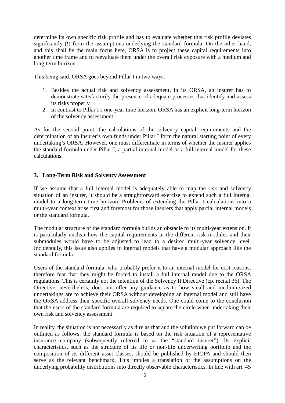determine its own specific risk profile and has to evaluate whether this risk profile deviates significantly (!) from the assumptions underlying the standard formula. On the other hand, and this shall be the main focus here, ORSA is to project these capital requirements into another time frame and to reevaluate them under the overall risk exposure with a medium and long-term horizon.

This being said, ORSA goes beyond Pillar I in two ways:

- 1. Besides the actual risk and solvency assessment, in its ORSA, an insurer has to demonstrate satisfactorily the presence of adequate processes that identify and assess its risks properly.
- 2. In contrast to Pillar I's one-year time horizon, ORSA has an explicit long-term horizon of the solvency assessment.

As for the second point, the calculations of the solvency capital requirements and the determination of an insurer's own funds under Pillar I form the natural starting point of every undertaking's ORSA. However, one must differentiate in terms of whether the insurer applies the standard formula under Pillar I, a partial internal model or a full internal model for these calculations.

# **3. Long-Term Risk and Solvency Assessment**

If we assume that a full internal model is adequately able to map the risk and solvency situation of an insurer, it should be a straightforward exercise to extend such a full internal model to a long-term time horizon. Problems of extending the Pillar I calculations into a multi-year context arise first and foremost for those insurers that apply partial internal models or the standard formula.

The modular structure of the standard formula builds an obstacle to its multi-year extension. It is particularly unclear how the capital requirements in the different risk modules and their submodules would have to be adjusted to lead to a desired multi-year solvency level. Incidentally, this issue also applies to internal models that have a modular approach like the standard formula.

Users of the standard formula, who probably prefer it to an internal model for cost reasons, therefore fear that they might be forced to install a full internal model due to the ORSA regulations. This is certainly not the intention of the Solvency II Directive (cp. recital 36). The Directive, nevertheless, does not offer any guidance as to how small and medium-sized undertakings are to achieve their ORSA without developing an internal model and still have the ORSA address their specific overall solvency needs. One could come to the conclusion that the users of the standard formula are required to square the circle when undertaking their own risk and solvency assessment.

In reality, the situation is not necessarily as dire as that and the solution we put forward can be outlined as follows: the standard formula is based on the risk situation of a representative insurance company (subsequently referred to as the "standard insurer"). Its explicit characteristics, such as the structure of its life or non-life underwriting portfolio and the composition of its different asset classes, should be published by EIOPA and should then serve as the relevant benchmark. This implies a translation of the assumptions on the underlying probability distributions into directly observable characteristics. In line with art. 45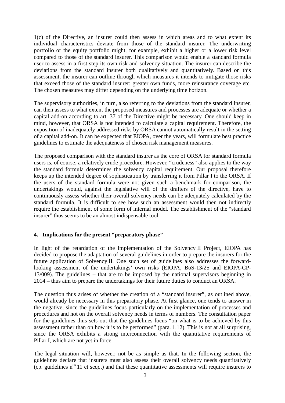1(c) of the Directive, an insurer could then assess in which areas and to what extent its individual characteristics deviate from those of the standard insurer. The underwriting portfolio or the equity portfolio might, for example, exhibit a higher or a lower risk level compared to those of the standard insurer. This comparison would enable a standard formula user to assess in a first step its own risk and solvency situation. The insurer can describe the deviations from the standard insurer both qualitatively and quantitatively. Based on this assessment, the insurer can outline through which measures it intends to mitigate those risks that exceed those of the standard insurer: greater own funds, more reinsurance coverage etc. The chosen measures may differ depending on the underlying time horizon.

The supervisory authorities, in turn, also referring to the deviations from the standard insurer, can then assess to what extent the proposed measures and processes are adequate or whether a capital add-on according to art. 37 of the Directive might be necessary. One should keep in mind, however, that ORSA is not intended to calculate a capital requirement. Therefore, the exposition of inadequately addressed risks by ORSA cannot automatically result in the setting of a capital add-on. It can be expected that EIOPA, over the years, will formulate best practice guidelines to estimate the adequateness of chosen risk management measures.

The proposed comparison with the standard insurer as the core of ORSA for standard formula users is, of course, a relatively crude procedure. However, "crudeness" also applies to the way the standard formula determines the solvency capital requirement. Our proposal therefore keeps up the intended degree of sophistication by transferring it from Pillar I to the ORSA. If the users of the standard formula were not given such a benchmark for comparison, the undertakings would, against the legislative will of the drafters of the directive, have to continuously assess whether their overall solvency needs can be adequately calculated by the standard formula. It is difficult to see how such an assessment would then not indirectly require the establishment of some form of internal model. The establishment of the "standard insurer" thus seems to be an almost indispensable tool.

## **4. Implications for the present "preparatory phase"**

In light of the retardation of the implementation of the Solvency II Project, EIOPA has decided to propose the adaptation of several guidelines in order to prepare the insurers for the future application of Solvency II. One such set of guidelines also addresses the forwardlooking assessment of the undertakings' own risks (EIOPA, BoS-13/25 and EIOPA-CP-13/009). The guidelines – that are to be imposed by the national supervisors beginning in 2014 – thus aim to prepare the undertakings for their future duties to conduct an ORSA.

The question thus arises of whether the creation of a "standard insurer", as outlined above, would already be necessary in this preparatory phase. At first glance, one tends to answer in the negative, since the guidelines focus particularly on the implementation of processes and procedures and not on the overall solvency needs in terms of numbers. The consultation paper for the guidelines thus sets out that the guidelines focus "on what is to be achieved by this assessment rather than on how it is to be performed" (para. 1.12). This is not at all surprising, since the ORSA exhibits a strong interconnection with the quantitative requirements of Pillar I, which are not yet in force.

The legal situation will, however, not be as simple as that. In the following section, the guidelines declare that insurers must also assess their overall solvency needs quantitatively (cp. guidelines  $n^{\text{os}}$  11 et seqq.) and that these quantitative assessments will require insurers to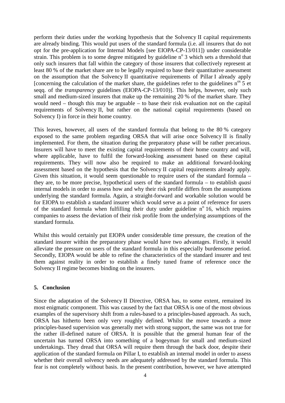perform their duties under the working hypothesis that the Solvency II capital requirements are already binding. This would put users of the standard formula (i.e. all insurers that do not opt for the pre-application for Internal Models [see EIOPA-CP-13/011]) under considerable strain. This problem is to some degree mitigated by guideline  $n^{\circ}$  3 which sets a threshold that only such insurers that fall within the category of those insurers that collectively represent at least 80 % of the market share are to be legally required to base their quantitative assessment on the assumption that the Solvency II quantitative requirements of Pillar I already apply [concerning the calculation of the market share, the guidelines refer to the guidelines  $n^{\circ s}$  5 et seqq. of the *transparency* guidelines (EIOPA-CP-13/010)]. This helps, however, only such small and medium-sized insurers that make up the remaining 20 % of the market share. They would need – though this may be arguable – to base their risk evaluation not on the capital requirements of Solvency II, but rather on the national capital requirements (based on Solvency I) in force in their home country.

This leaves, however, all users of the standard formula that belong to the 80 % category exposed to the same problem regarding ORSA that will arise once Solvency II is finally implemented. For them, the situation during the preparatory phase will be rather precarious. Insurers will have to meet the existing capital requirements of their home country and will, where applicable, have to fulfil the forward-looking assessment based on these capital requirements. They will now also be required to make an additional forward-looking assessment based on the hypothesis that the Solvency II capital requirements already apply. Given this situation, it would seem questionable to require users of the standard formula – they are, to be more precise, hypothetical users of the standard formula – to establish *quasi* internal models in order to assess how and why their risk profile differs from the assumptions underlying the standard formula. Again, a straight-forward and workable solution would be for EIOPA to establish a standard insurer which would serve as a point of reference for users of the standard formula when fulfilling their duty under guideline  $n^{\circ}$  16, which requires companies to assess the deviation of their risk profile from the underlying assumptions of the standard formula.

Whilst this would certainly put EIOPA under considerable time pressure, the creation of the standard insurer within the preparatory phase would have two advantages. Firstly, it would alleviate the pressure on users of the standard formula in this especially burdensome period. Secondly, EIOPA would be able to refine the characteristics of the standard insurer and test them against reality in order to establish a finely tuned frame of reference once the Solvency II regime becomes binding on the insurers.

## **5. Conclusion**

Since the adaptation of the Solvency II Directive, ORSA has, to some extent, remained its most enigmatic component. This was caused by the fact that ORSA is one of the most obvious examples of the supervisory shift from a rules-based to a principles-based approach. As such, ORSA has hitherto been only very roughly defined. Whilst the move towards a more principles-based supervision was generally met with strong support, the same was not true for the rather ill-defined nature of ORSA. It is possible that the general human fear of the uncertain has turned ORSA into something of a bogeyman for small and medium-sized undertakings. They dread that ORSA will require them through the back door, despite their application of the standard formula on Pillar I, to establish an internal model in order to assess whether their overall solvency needs are adequately addressed by the standard formula. This fear is not completely without basis. In the present contribution, however, we have attempted